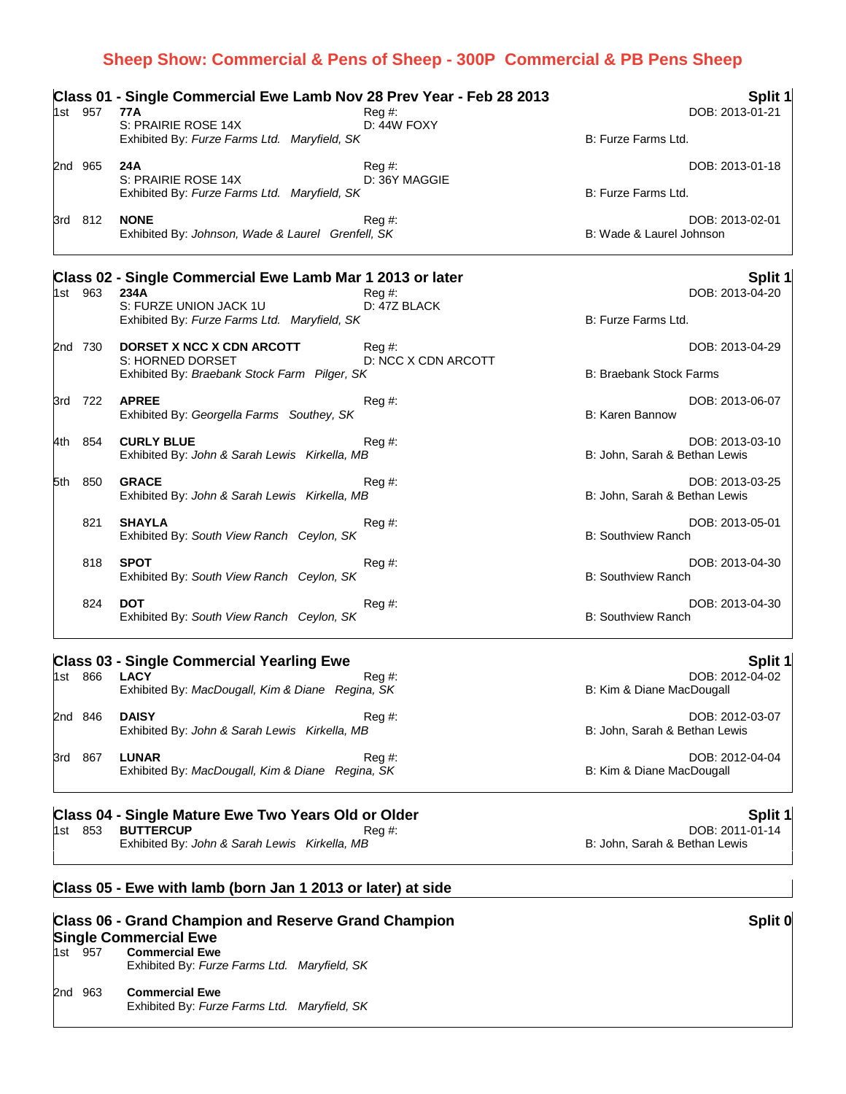## **Sheep Show: Commercial & Pens of Sheep - 300P Commercial & PB Pens Sheep**

| 1st 957 | Class 01 - Single Commercial Ewe Lamb Nov 28 Prev Year - Feb 28 2013<br>77A | $Reg#$ :                    |                                | Split 1<br>DOB: 2013-01-21 |
|---------|-----------------------------------------------------------------------------|-----------------------------|--------------------------------|----------------------------|
|         | S: PRAIRIE ROSE 14X<br>Exhibited By: Furze Farms Ltd. Maryfield, SK         | D: 44W FOXY                 | B: Furze Farms Ltd.            |                            |
| 2nd 965 | 24A<br>S: PRAIRIE ROSE 14X<br>Exhibited By: Furze Farms Ltd. Maryfield, SK  | Reg #:<br>D: 36Y MAGGIE     | B: Furze Farms Ltd.            | DOB: 2013-01-18            |
| 3rd 812 | <b>NONE</b><br>Exhibited By: Johnson, Wade & Laurel Grenfell, SK            | Reg#                        | B: Wade & Laurel Johnson       | DOB: 2013-02-01            |
|         | Class 02 - Single Commercial Ewe Lamb Mar 1 2013 or later                   |                             |                                | Split 1                    |
| 1st 963 | 234A<br>S: FURZE UNION JACK 1U                                              | Reg #:<br>D: 47Z BLACK      |                                | DOB: 2013-04-20            |
|         | Exhibited By: Furze Farms Ltd. Maryfield, SK                                |                             | B: Furze Farms Ltd.            |                            |
| 2nd 730 | DORSET X NCC X CDN ARCOTT<br>S: HORNED DORSET                               | Reg#<br>D: NCC X CDN ARCOTT |                                | DOB: 2013-04-29            |
|         | Exhibited By: Braebank Stock Farm Pilger, SK                                |                             | <b>B: Braebank Stock Farms</b> |                            |
| 3rd 722 | <b>APREE</b><br>Exhibited By: Georgella Farms Southey, SK                   | $Reg#$ :                    | B: Karen Bannow                | DOB: 2013-06-07            |
| 4th 854 | <b>CURLY BLUE</b><br>Exhibited By: John & Sarah Lewis Kirkella, MB          | $\text{Re}q \#$ :           | B: John, Sarah & Bethan Lewis  | DOB: 2013-03-10            |
| 5th 850 | <b>GRACE</b><br>Exhibited By: John & Sarah Lewis Kirkella, MB               | $Req \#$ :                  | B: John, Sarah & Bethan Lewis  | DOB: 2013-03-25            |
| 821     | <b>SHAYLA</b><br>Exhibited By: South View Ranch Ceylon, SK                  | Reg#                        | <b>B: Southview Ranch</b>      | DOB: 2013-05-01            |
| 818     | <b>SPOT</b><br>Exhibited By: South View Ranch Ceylon, SK                    | $Reg#$ :                    | <b>B: Southview Ranch</b>      | DOB: 2013-04-30            |
| 824     | <b>DOT</b>                                                                  | $\text{Re}q \#$ :           |                                | DOB: 2013-04-30            |

Exhibited By: *South View Ranch Ceylon, SK* B: Southview Ranch

## **Class 03 - Single Commercial Yearling Ewe Split 1**

| 1st     | 866 | <b>LACY</b><br>Exhibited By: MacDougall, Kim & Diane Regina, SK  | $\text{Re}q \#$ : |
|---------|-----|------------------------------------------------------------------|-------------------|
| 2nd 846 |     | <b>DAISY</b><br>Exhibited By: John & Sarah Lewis Kirkella, MB    | Reg #:            |
| 3rd     | 867 | <b>LUNAR</b><br>Exhibited By: MacDougall, Kim & Diane Regina, SK | Reg #:            |

### **Class 04 - Single Mature Ewe Two Years Old or Older Split 1 Split 1 Split 1 Split 1**

1st 853 **BUTTERCUP** Reg #: Reg #: Reg +: Reg +: Reg +: Reg +: Reg +: Reg +: Reg +: Reg +: Reg +: Reg +: Reg +: Reg +: Reg +: Reg +: Reg +: Reg +: Reg +: Reg +: Reg +: Reg +: Reg +: Reg +: Reg +: Reg +: Reg +: Reg +: Reg +: Exhibited By: John & Sarah Lewis Kirkella, MB

## **Class 05 - Ewe with lamb (born Jan 1 2013 or later) at side**

| <b>Class 06 - Grand Champion and Reserve Grand Champion</b> |  |
|-------------------------------------------------------------|--|
| <b>Single Commercial Ewe</b>                                |  |

- 1st 957 **Commercial Ewe** Exhibited By: *Furze Farms Ltd. Maryfield, SK*
- 2nd 963 **Commercial Ewe** Exhibited By: *Furze Farms Ltd. Maryfield, SK*

DOB: 2012-04-02 B: Kim & Diane MacDougall

DOB: 2012-03-07 B: John, Sarah & Bethan Lewis

DOB: 2012-04-04 B: Kim & Diane MacDougall

### **Split 0**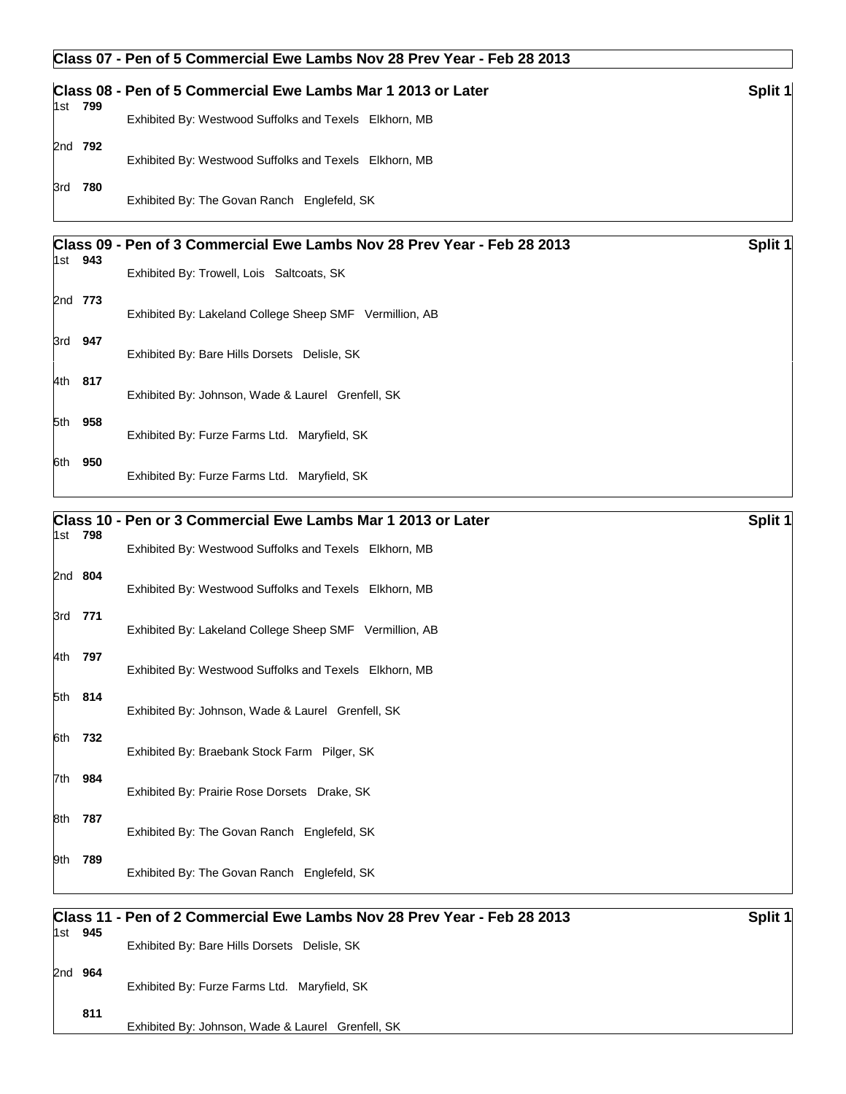#### **Class 07 - Pen of 5 Commercial Ewe Lambs Nov 28 Prev Year - Feb 28 2013**

|         | Class 08 - Pen of 5 Commercial Ewe Lambs Mar 1 2013 or Later            | Split 1 |
|---------|-------------------------------------------------------------------------|---------|
| 1st 799 | Exhibited By: Westwood Suffolks and Texels Elkhorn, MB                  |         |
| 2nd 792 | Exhibited By: Westwood Suffolks and Texels Elkhorn, MB                  |         |
| 3rd 780 | Exhibited By: The Govan Ranch Englefeld, SK                             |         |
|         | Class 09 - Pen of 3 Commercial Ewe Lambs Nov 28 Prev Year - Feb 28 2013 | Split 1 |

| 1st  | 943     | Exhibited By: Trowell, Lois Saltcoats, SK               |
|------|---------|---------------------------------------------------------|
|      | 2nd 773 | Exhibited By: Lakeland College Sheep SMF Vermillion, AB |
| 3rd  | 947     | Exhibited By: Bare Hills Dorsets Delisle, SK            |
| l4th | 817     | Exhibited By: Johnson, Wade & Laurel Grenfell, SK       |
| 5th  | 958     | Exhibited By: Furze Farms Ltd. Maryfield, SK            |
| 6th  | 950     | Exhibited By: Furze Farms Ltd. Maryfield, SK            |

# **Class 10 - Pen or 3 Commercial Ewe Lambs Mar 1 2013 or Later Split 1 Split 1** Split 1 1st **798** Exhibited By: Westwood Suffolks and Texels Elkhorn, MB 2nd **804** Exhibited By: Westwood Suffolks and Texels Elkhorn, MB 3rd **771** Exhibited By: Lakeland College Sheep SMF Vermillion, AB 4th **797** Exhibited By: Westwood Suffolks and Texels Elkhorn, MB 5th **814** Exhibited By: Johnson, Wade & Laurel Grenfell, SK 6th **732** Exhibited By: Braebank Stock Farm Pilger, SK 7th **984** Exhibited By: Prairie Rose Dorsets Drake, SK 8th **787** Exhibited By: The Govan Ranch Englefeld, SK 9th **789** Exhibited By: The Govan Ranch Englefeld, SK

|         | Class 11 - Pen of 2 Commercial Ewe Lambs Nov 28 Prev Year - Feb 28 2013 | Split 1 |
|---------|-------------------------------------------------------------------------|---------|
| 1st 945 | Exhibited By: Bare Hills Dorsets Delisle, SK                            |         |
| 2nd 964 | Exhibited By: Furze Farms Ltd. Maryfield, SK                            |         |
| 811     | Exhibited By: Johnson, Wade & Laurel Grenfell, SK                       |         |